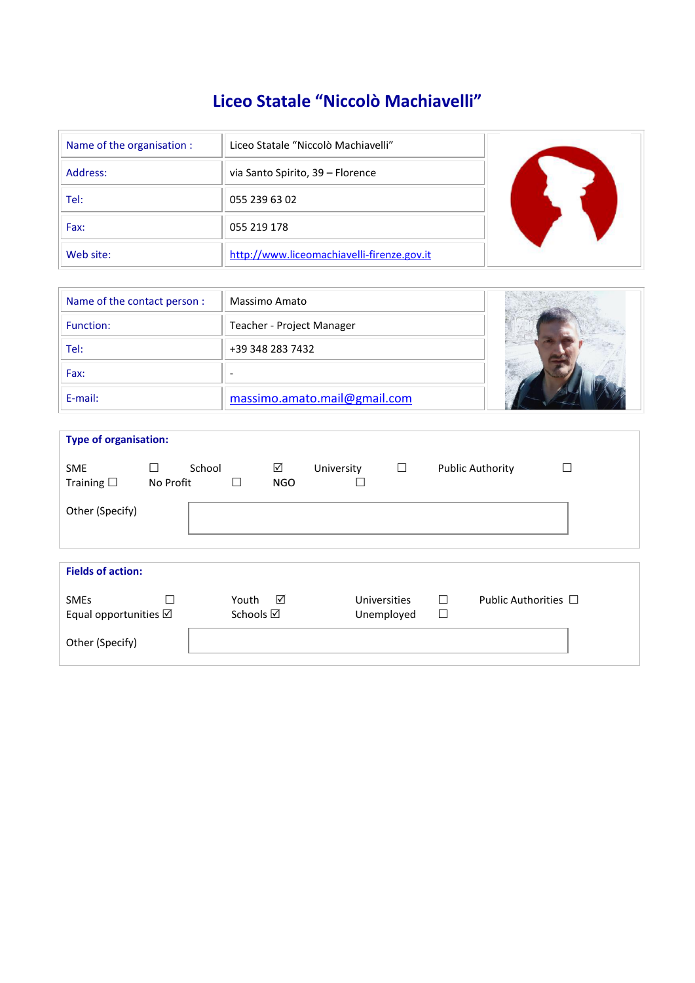# **Liceo Statale "Niccolò Machiavelli"**

| Name of the organisation : | Liceo Statale "Niccolò Machiavelli"        |  |
|----------------------------|--------------------------------------------|--|
| Address:                   | via Santo Spirito, 39 - Florence           |  |
| Tel:                       | 055 239 63 02                              |  |
| Fax:                       | 055 219 178                                |  |
| Web site:                  | http://www.liceomachiavelli-firenze.gov.it |  |

| Name of the contact person : | Massimo Amato                |  |
|------------------------------|------------------------------|--|
| Function:                    | Teacher - Project Manager    |  |
| Tel:                         | +39 348 283 7432             |  |
| Fax:                         |                              |  |
| E-mail:                      | massimo.amato.mail@gmail.com |  |

| <b>Type of organisation:</b>                   |                |        |                              |                 |            |                            |        |             |                           |  |
|------------------------------------------------|----------------|--------|------------------------------|-----------------|------------|----------------------------|--------|-------------|---------------------------|--|
| <b>SME</b><br>Training $\square$               | □<br>No Profit | School | П                            | ☑<br><b>NGO</b> | University | $\Box$                     | $\Box$ |             | <b>Public Authority</b>   |  |
| Other (Specify)                                |                |        |                              |                 |            |                            |        |             |                           |  |
| <b>Fields of action:</b>                       |                |        |                              |                 |            |                            |        |             |                           |  |
| <b>SMEs</b><br>Equal opportunities $\boxtimes$ |                |        | Youth<br>Schools $\boxtimes$ | ☑               |            | Universities<br>Unemployed |        | П<br>$\Box$ | Public Authorities $\Box$ |  |
| Other (Specify)                                |                |        |                              |                 |            |                            |        |             |                           |  |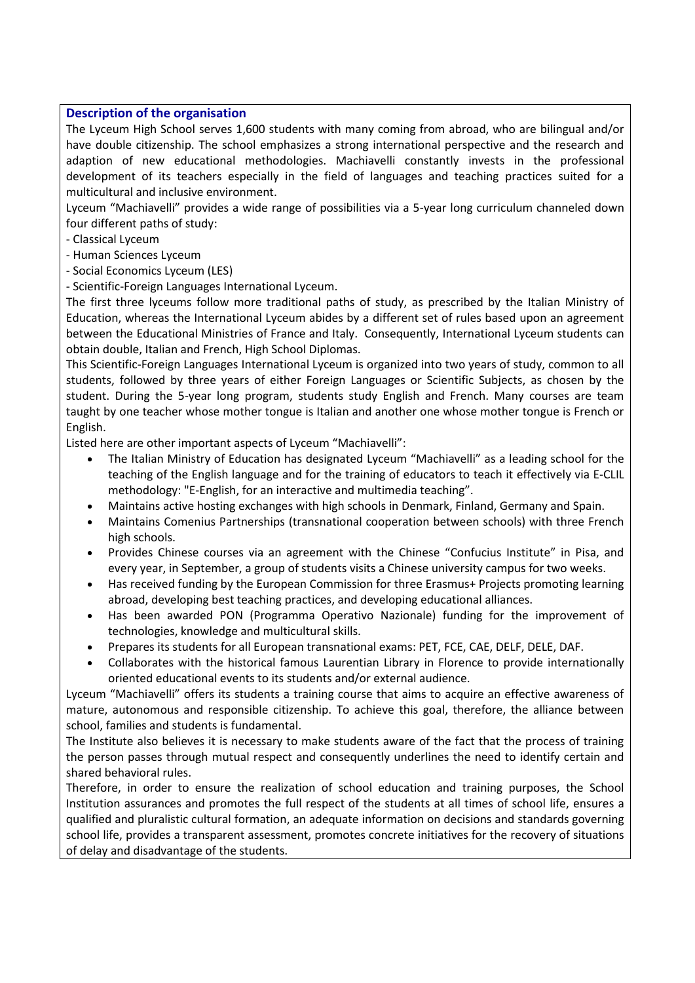## **Description of the organisation**

The Lyceum High School serves 1,600 students with many coming from abroad, who are bilingual and/or have double citizenship. The school emphasizes a strong international perspective and the research and adaption of new educational methodologies. Machiavelli constantly invests in the professional development of its teachers especially in the field of languages and teaching practices suited for a multicultural and inclusive environment.

Lyceum "Machiavelli" provides a wide range of possibilities via a 5-year long curriculum channeled down four different paths of study:

- Classical Lyceum
- Human Sciences Lyceum
- Social Economics Lyceum (LES)

- Scientific-Foreign Languages International Lyceum.

The first three lyceums follow more traditional paths of study, as prescribed by the Italian Ministry of Education, whereas the International Lyceum abides by a different set of rules based upon an agreement between the Educational Ministries of France and Italy. Consequently, International Lyceum students can obtain double, Italian and French, High School Diplomas.

This Scientific-Foreign Languages International Lyceum is organized into two years of study, common to all students, followed by three years of either Foreign Languages or Scientific Subjects, as chosen by the student. During the 5-year long program, students study English and French. Many courses are team taught by one teacher whose mother tongue is Italian and another one whose mother tongue is French or English.

Listed here are other important aspects of Lyceum "Machiavelli":

- The Italian Ministry of Education has designated Lyceum "Machiavelli" as a leading school for the teaching of the English language and for the training of educators to teach it effectively via E-CLIL methodology: "E-English, for an interactive and multimedia teaching".
- Maintains active hosting exchanges with high schools in Denmark, Finland, Germany and Spain.
- Maintains Comenius Partnerships (transnational cooperation between schools) with three French high schools.
- Provides Chinese courses via an agreement with the Chinese "Confucius Institute" in Pisa, and every year, in September, a group of students visits a Chinese university campus for two weeks.
- Has received funding by the European Commission for three Erasmus+ Projects promoting learning abroad, developing best teaching practices, and developing educational alliances.
- Has been awarded PON (Programma Operativo Nazionale) funding for the improvement of technologies, knowledge and multicultural skills.
- Prepares its students for all European transnational exams: PET, FCE, CAE, DELF, DELE, DAF.
- Collaborates with the historical famous Laurentian Library in Florence to provide internationally oriented educational events to its students and/or external audience.

Lyceum "Machiavelli" offers its students a training course that aims to acquire an effective awareness of mature, autonomous and responsible citizenship. To achieve this goal, therefore, the alliance between school, families and students is fundamental.

The Institute also believes it is necessary to make students aware of the fact that the process of training the person passes through mutual respect and consequently underlines the need to identify certain and shared behavioral rules.

Therefore, in order to ensure the realization of school education and training purposes, the School Institution assurances and promotes the full respect of the students at all times of school life, ensures a qualified and pluralistic cultural formation, an adequate information on decisions and standards governing school life, provides a transparent assessment, promotes concrete initiatives for the recovery of situations of delay and disadvantage of the students.